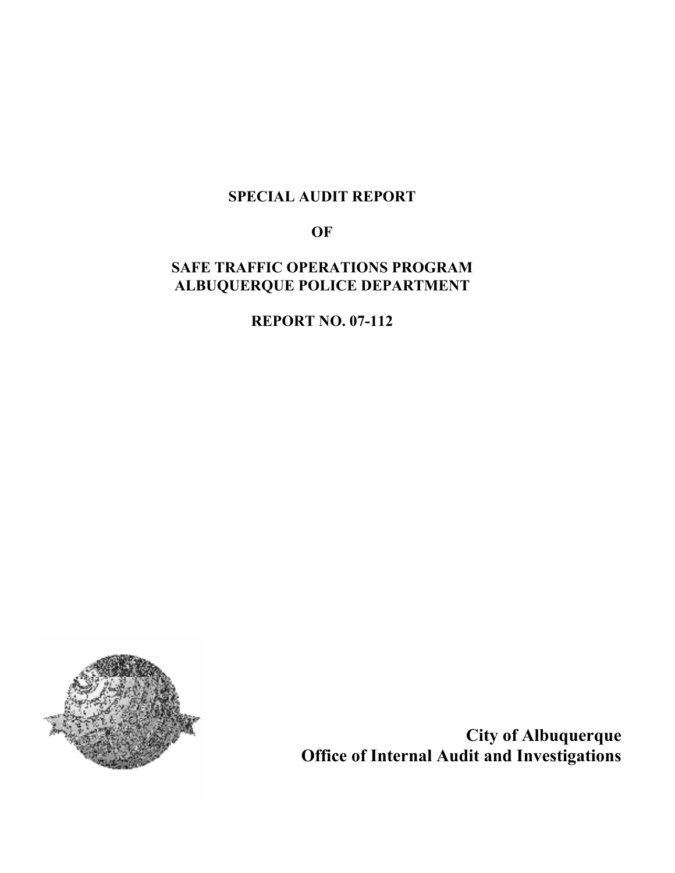# SPECIAL AUDIT REPORT

**OF** 

# SAFE TRAFFIC OPERATIONS PROGRAM ALBUQUERQUE POLICE DEPARTMENT

REPORT NO. 07-112



City of Albuquerque Office of Internal Audit and Investigations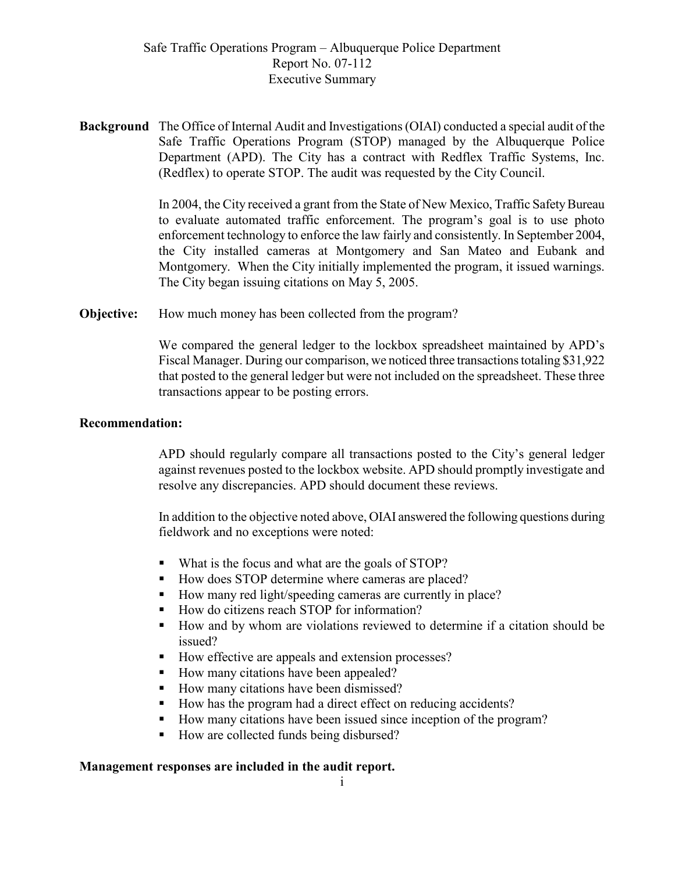Safe Traffic Operations Program – Albuquerque Police Department Report No. 07-112 Executive Summary

Background The Office of Internal Audit and Investigations (OIAI) conducted a special audit of the Safe Traffic Operations Program (STOP) managed by the Albuquerque Police Department (APD). The City has a contract with Redflex Traffic Systems, Inc. (Redflex) to operate STOP. The audit was requested by the City Council.

> In 2004, the City received a grant from the State of New Mexico, Traffic Safety Bureau to evaluate automated traffic enforcement. The program's goal is to use photo enforcement technology to enforce the law fairly and consistently. In September 2004, the City installed cameras at Montgomery and San Mateo and Eubank and Montgomery. When the City initially implemented the program, it issued warnings. The City began issuing citations on May 5, 2005.

**Objective:** How much money has been collected from the program?

We compared the general ledger to the lockbox spreadsheet maintained by APD's Fiscal Manager. During our comparison, we noticed three transactions totaling \$31,922 that posted to the general ledger but were not included on the spreadsheet. These three transactions appear to be posting errors.

#### Recommendation:

APD should regularly compare all transactions posted to the City's general ledger against revenues posted to the lockbox website. APD should promptly investigate and resolve any discrepancies. APD should document these reviews.

In addition to the objective noted above, OIAI answered the following questions during fieldwork and no exceptions were noted:

- What is the focus and what are the goals of STOP?
- How does STOP determine where cameras are placed?
- How many red light/speeding cameras are currently in place?
- How do citizens reach STOP for information?
- How and by whom are violations reviewed to determine if a citation should be issued?
- How effective are appeals and extension processes?
- How many citations have been appealed?
- How many citations have been dismissed?
- How has the program had a direct effect on reducing accidents?
- How many citations have been issued since inception of the program?
- How are collected funds being disbursed?

#### Management responses are included in the audit report.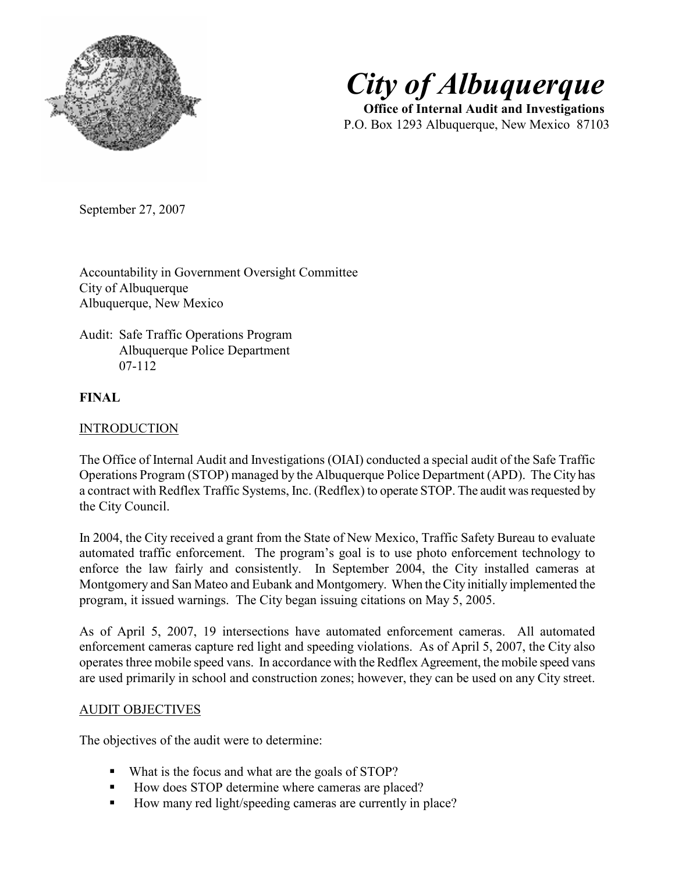



 Office of Internal Audit and Investigations P.O. Box 1293 Albuquerque, New Mexico 87103

September 27, 2007

Accountability in Government Oversight Committee City of Albuquerque Albuquerque, New Mexico

### Audit: Safe Traffic Operations Program Albuquerque Police Department 07-112

### FINAL

### INTRODUCTION

The Office of Internal Audit and Investigations (OIAI) conducted a special audit of the Safe Traffic Operations Program (STOP) managed by the Albuquerque Police Department (APD). The City has a contract with Redflex Traffic Systems, Inc. (Redflex) to operate STOP. The audit was requested by the City Council.

In 2004, the City received a grant from the State of New Mexico, Traffic Safety Bureau to evaluate automated traffic enforcement. The program's goal is to use photo enforcement technology to enforce the law fairly and consistently. In September 2004, the City installed cameras at Montgomery and San Mateo and Eubank and Montgomery. When the City initially implemented the program, it issued warnings. The City began issuing citations on May 5, 2005.

As of April 5, 2007, 19 intersections have automated enforcement cameras. All automated enforcement cameras capture red light and speeding violations. As of April 5, 2007, the City also operates three mobile speed vans. In accordance with the Redflex Agreement, the mobile speed vans are used primarily in school and construction zones; however, they can be used on any City street.

#### AUDIT OBJECTIVES

The objectives of the audit were to determine:

- What is the focus and what are the goals of STOP?
- How does STOP determine where cameras are placed?
- How many red light/speeding cameras are currently in place?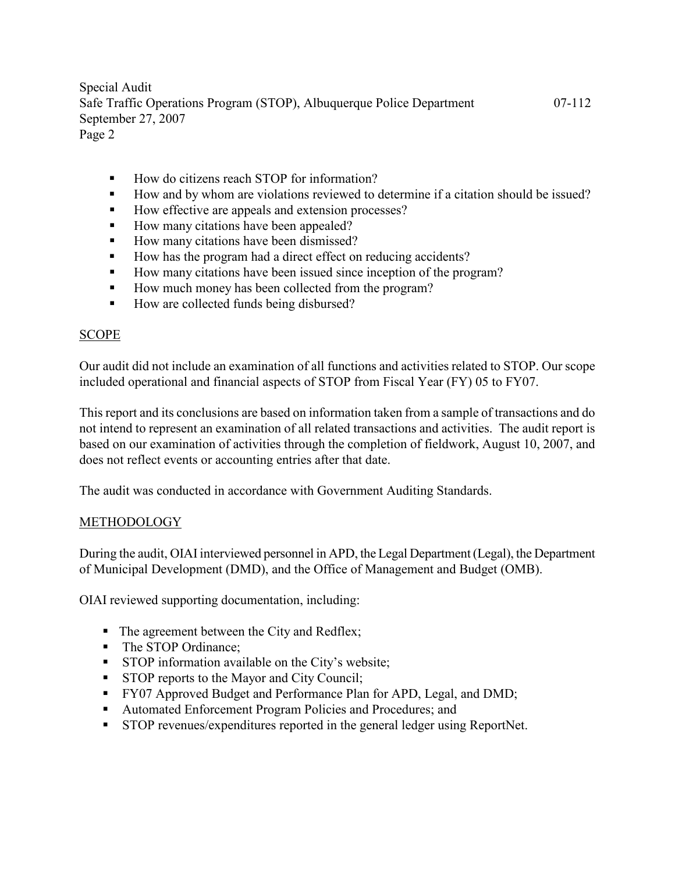- How do citizens reach STOP for information?
- How and by whom are violations reviewed to determine if a citation should be issued?
- How effective are appeals and extension processes?
- How many citations have been appealed?
- How many citations have been dismissed?
- How has the program had a direct effect on reducing accidents?
- How many citations have been issued since inception of the program?
- How much money has been collected from the program?
- How are collected funds being disbursed?

### SCOPE

Our audit did not include an examination of all functions and activities related to STOP. Our scope included operational and financial aspects of STOP from Fiscal Year (FY) 05 to FY07.

This report and its conclusions are based on information taken from a sample of transactions and do not intend to represent an examination of all related transactions and activities. The audit report is based on our examination of activities through the completion of fieldwork, August 10, 2007, and does not reflect events or accounting entries after that date.

The audit was conducted in accordance with Government Auditing Standards.

### METHODOLOGY

During the audit, OIAI interviewed personnel in APD, the Legal Department (Legal), the Department of Municipal Development (DMD), and the Office of Management and Budget (OMB).

OIAI reviewed supporting documentation, including:

- The agreement between the City and Redflex;
- The STOP Ordinance:
- **STOP** information available on the City's website;
- **STOP** reports to the Mayor and City Council;
- **FY07 Approved Budget and Performance Plan for APD, Legal, and DMD;**
- Automated Enforcement Program Policies and Procedures; and
- STOP revenues/expenditures reported in the general ledger using ReportNet.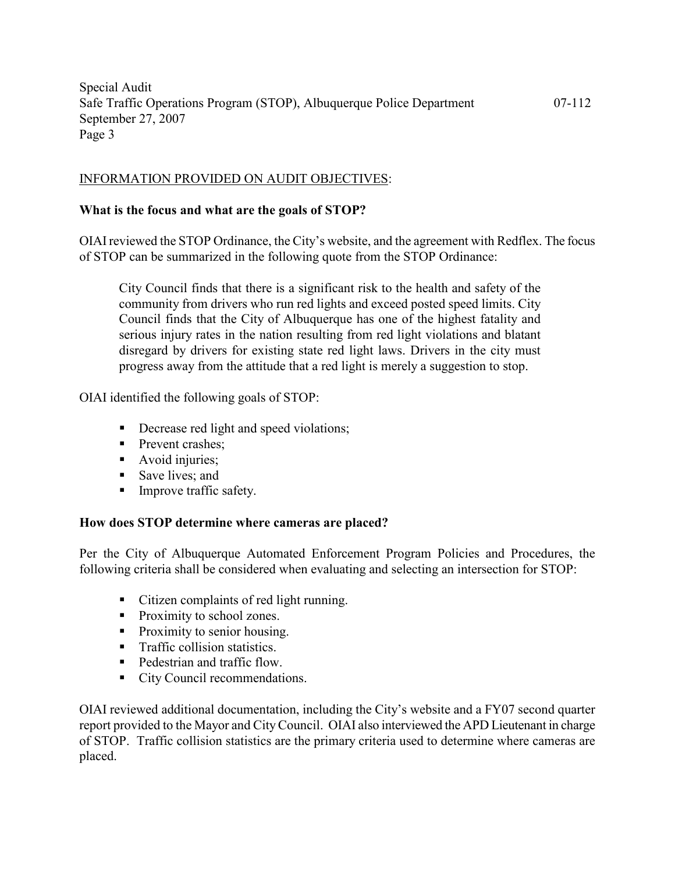#### INFORMATION PROVIDED ON AUDIT OBJECTIVES:

#### What is the focus and what are the goals of STOP?

OIAI reviewed the STOP Ordinance, the City's website, and the agreement with Redflex. The focus of STOP can be summarized in the following quote from the STOP Ordinance:

City Council finds that there is a significant risk to the health and safety of the community from drivers who run red lights and exceed posted speed limits. City Council finds that the City of Albuquerque has one of the highest fatality and serious injury rates in the nation resulting from red light violations and blatant disregard by drivers for existing state red light laws. Drivers in the city must progress away from the attitude that a red light is merely a suggestion to stop.

OIAI identified the following goals of STOP:

- Decrease red light and speed violations;
- **Prevent crashes:**
- Avoid injuries;
- Save lives; and
- **Improve traffic safety.**

#### How does STOP determine where cameras are placed?

Per the City of Albuquerque Automated Enforcement Program Policies and Procedures, the following criteria shall be considered when evaluating and selecting an intersection for STOP:

- Citizen complaints of red light running.
- Proximity to school zones.
- Proximity to senior housing.
- **Traffic collision statistics.**
- Pedestrian and traffic flow.
- City Council recommendations.

OIAI reviewed additional documentation, including the City's website and a FY07 second quarter report provided to the Mayor and City Council. OIAI also interviewed the APD Lieutenant in charge of STOP. Traffic collision statistics are the primary criteria used to determine where cameras are placed.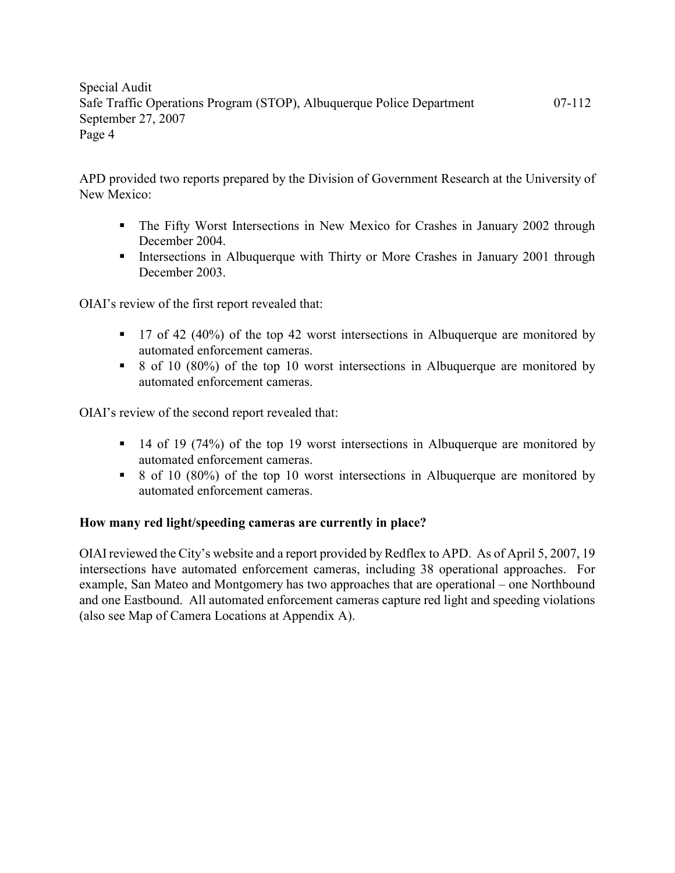APD provided two reports prepared by the Division of Government Research at the University of New Mexico:

- The Fifty Worst Intersections in New Mexico for Crashes in January 2002 through December 2004.
- Intersections in Albuquerque with Thirty or More Crashes in January 2001 through December 2003.

OIAI's review of the first report revealed that:

- 17 of 42 (40%) of the top 42 worst intersections in Albuquerque are monitored by automated enforcement cameras.
- 8 of 10 (80%) of the top 10 worst intersections in Albuquerque are monitored by automated enforcement cameras.

OIAI's review of the second report revealed that:

- $\blacksquare$  14 of 19 (74%) of the top 19 worst intersections in Albuquerque are monitored by automated enforcement cameras.
- $\bullet$  8 of 10 (80%) of the top 10 worst intersections in Albuquerque are monitored by automated enforcement cameras.

### How many red light/speeding cameras are currently in place?

OIAI reviewed the City's website and a report provided by Redflex to APD. As of April 5, 2007, 19 intersections have automated enforcement cameras, including 38 operational approaches. For example, San Mateo and Montgomery has two approaches that are operational – one Northbound and one Eastbound. All automated enforcement cameras capture red light and speeding violations (also see Map of Camera Locations at Appendix A).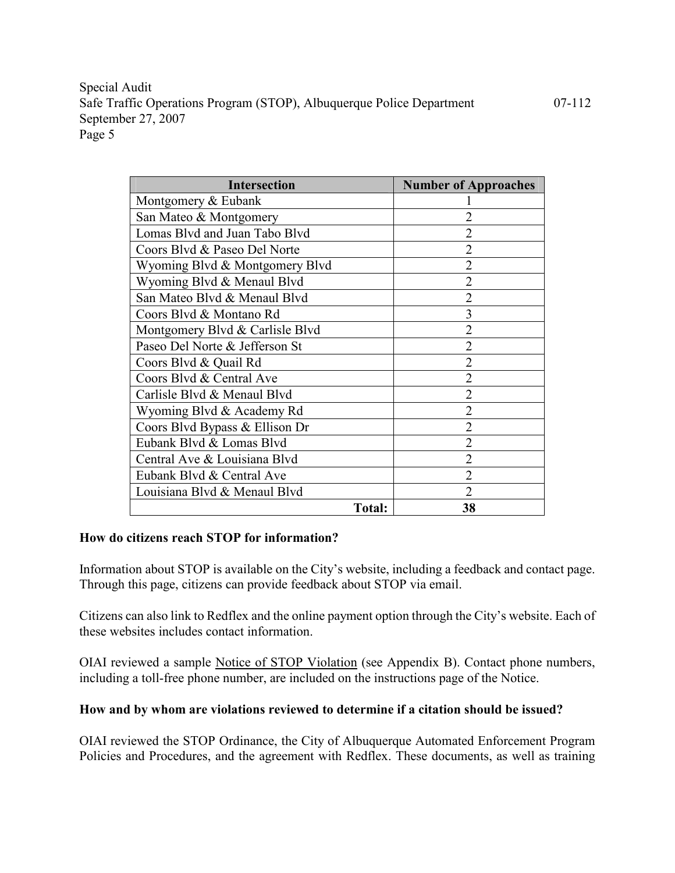| <b>Intersection</b>             | <b>Number of Approaches</b> |
|---------------------------------|-----------------------------|
| Montgomery & Eubank             |                             |
| San Mateo & Montgomery          |                             |
| Lomas Blvd and Juan Tabo Blvd   |                             |
| Coors Blvd & Paseo Del Norte    | $\overline{2}$              |
| Wyoming Blvd & Montgomery Blvd  | $\overline{2}$              |
| Wyoming Blvd & Menaul Blvd      | $\overline{2}$              |
| San Mateo Blyd & Menaul Blyd    | $\overline{2}$              |
| Coors Blyd & Montano Rd         | 3                           |
| Montgomery Blvd & Carlisle Blvd | $\overline{2}$              |
| Paseo Del Norte & Jefferson St  | $\overline{2}$              |
| Coors Blvd & Quail Rd           | $\overline{2}$              |
| Coors Blyd & Central Ave        | $\overline{2}$              |
| Carlisle Blvd & Menaul Blvd     | $\overline{2}$              |
| Wyoming Blvd & Academy Rd       | 2                           |
| Coors Blvd Bypass & Ellison Dr  | 2                           |
| Eubank Blvd & Lomas Blvd        | $\overline{2}$              |
| Central Ave & Louisiana Blvd    | 2                           |
| Eubank Blyd & Central Ave       | $\overline{2}$              |
| Louisiana Blvd & Menaul Blvd    | $\overline{2}$              |
| <b>Total:</b>                   | 38                          |

#### How do citizens reach STOP for information?

Information about STOP is available on the City's website, including a feedback and contact page. Through this page, citizens can provide feedback about STOP via email.

Citizens can also link to Redflex and the online payment option through the City's website. Each of these websites includes contact information.

OIAI reviewed a sample Notice of STOP Violation (see Appendix B). Contact phone numbers, including a toll-free phone number, are included on the instructions page of the Notice.

### How and by whom are violations reviewed to determine if a citation should be issued?

OIAI reviewed the STOP Ordinance, the City of Albuquerque Automated Enforcement Program Policies and Procedures, and the agreement with Redflex. These documents, as well as training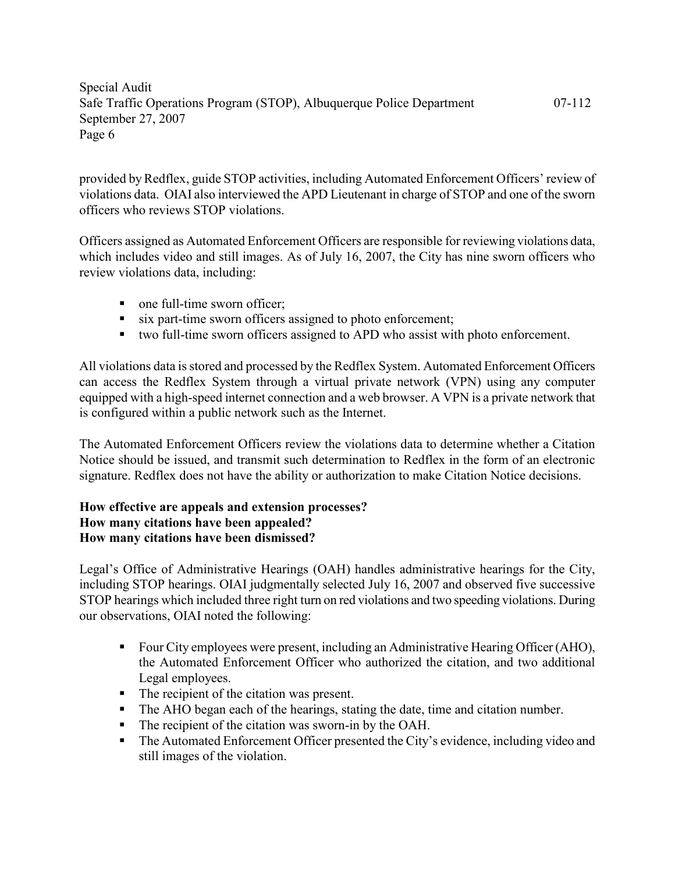provided by Redflex, guide STOP activities, including Automated Enforcement Officers' review of violations data. OIAI also interviewed the APD Lieutenant in charge of STOP and one of the sworn officers who reviews STOP violations.

Officers assigned as Automated Enforcement Officers are responsible for reviewing violations data, which includes video and still images. As of July 16, 2007, the City has nine sworn officers who review violations data, including:

- one full-time sworn officer;
- six part-time sworn officers assigned to photo enforcement;
- two full-time sworn officers assigned to APD who assist with photo enforcement.

All violations data is stored and processed by the Redflex System. Automated Enforcement Officers can access the Redflex System through a virtual private network (VPN) using any computer equipped with a high-speed internet connection and a web browser. A VPN is a private network that is configured within a public network such as the Internet.

The Automated Enforcement Officers review the violations data to determine whether a Citation Notice should be issued, and transmit such determination to Redflex in the form of an electronic signature. Redflex does not have the ability or authorization to make Citation Notice decisions.

### How effective are appeals and extension processes? How many citations have been appealed? How many citations have been dismissed?

Legal's Office of Administrative Hearings (OAH) handles administrative hearings for the City, including STOP hearings. OIAI judgmentally selected July 16, 2007 and observed five successive STOP hearings which included three right turn on red violations and two speeding violations. During our observations, OIAI noted the following:

- Four City employees were present, including an Administrative Hearing Officer (AHO), the Automated Enforcement Officer who authorized the citation, and two additional Legal employees.
- The recipient of the citation was present.
- The AHO began each of the hearings, stating the date, time and citation number.
- The recipient of the citation was sworn-in by the OAH.
- The Automated Enforcement Officer presented the City's evidence, including video and still images of the violation.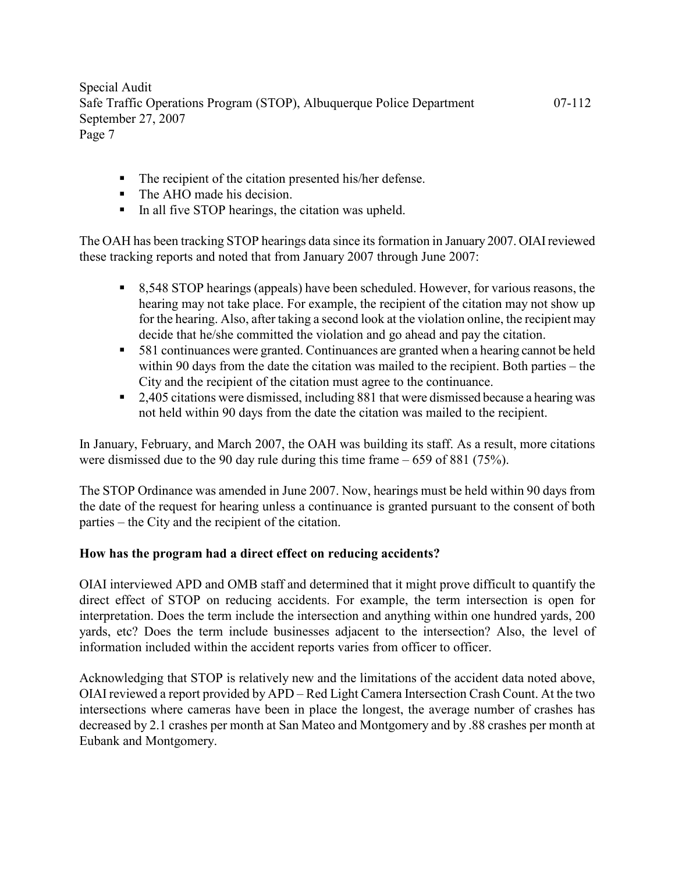- The recipient of the citation presented his/her defense.
- The AHO made his decision.
- In all five STOP hearings, the citation was upheld.

The OAH has been tracking STOP hearings data since its formation in January 2007. OIAI reviewed these tracking reports and noted that from January 2007 through June 2007:

- 8,548 STOP hearings (appeals) have been scheduled. However, for various reasons, the hearing may not take place. For example, the recipient of the citation may not show up for the hearing. Also, after taking a second look at the violation online, the recipient may decide that he/she committed the violation and go ahead and pay the citation.
- 581 continuances were granted. Continuances are granted when a hearing cannot be held within 90 days from the date the citation was mailed to the recipient. Both parties – the City and the recipient of the citation must agree to the continuance.
- <sup>2</sup> 2,405 citations were dismissed, including 881 that were dismissed because a hearing was not held within 90 days from the date the citation was mailed to the recipient.

In January, February, and March 2007, the OAH was building its staff. As a result, more citations were dismissed due to the 90 day rule during this time frame – 659 of 881 (75%).

The STOP Ordinance was amended in June 2007. Now, hearings must be held within 90 days from the date of the request for hearing unless a continuance is granted pursuant to the consent of both parties – the City and the recipient of the citation.

### How has the program had a direct effect on reducing accidents?

OIAI interviewed APD and OMB staff and determined that it might prove difficult to quantify the direct effect of STOP on reducing accidents. For example, the term intersection is open for interpretation. Does the term include the intersection and anything within one hundred yards, 200 yards, etc? Does the term include businesses adjacent to the intersection? Also, the level of information included within the accident reports varies from officer to officer.

Acknowledging that STOP is relatively new and the limitations of the accident data noted above, OIAI reviewed a report provided by APD – Red Light Camera Intersection Crash Count. At the two intersections where cameras have been in place the longest, the average number of crashes has decreased by 2.1 crashes per month at San Mateo and Montgomery and by .88 crashes per month at Eubank and Montgomery.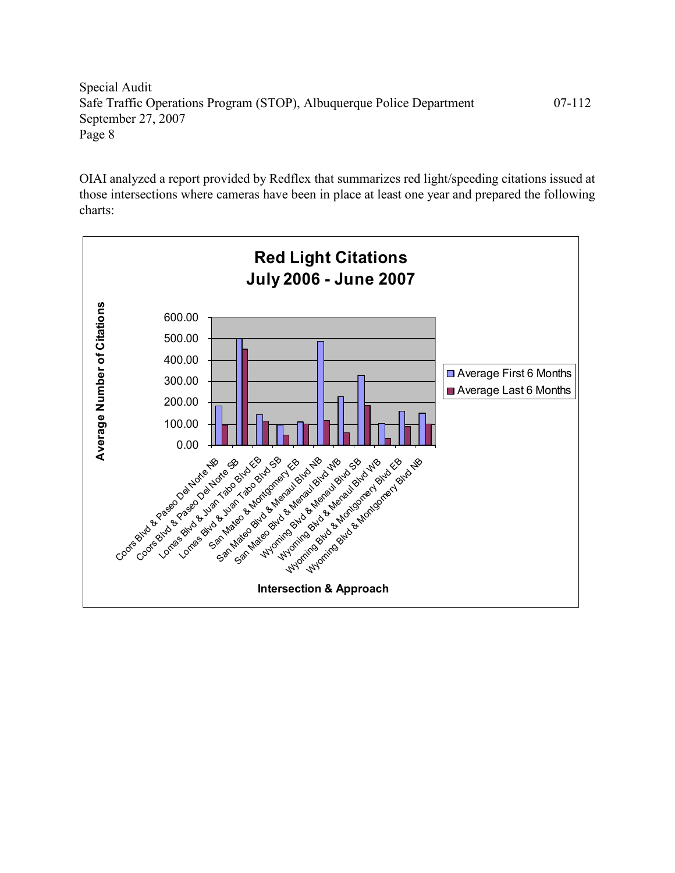OIAI analyzed a report provided by Redflex that summarizes red light/speeding citations issued at those intersections where cameras have been in place at least one year and prepared the following charts:

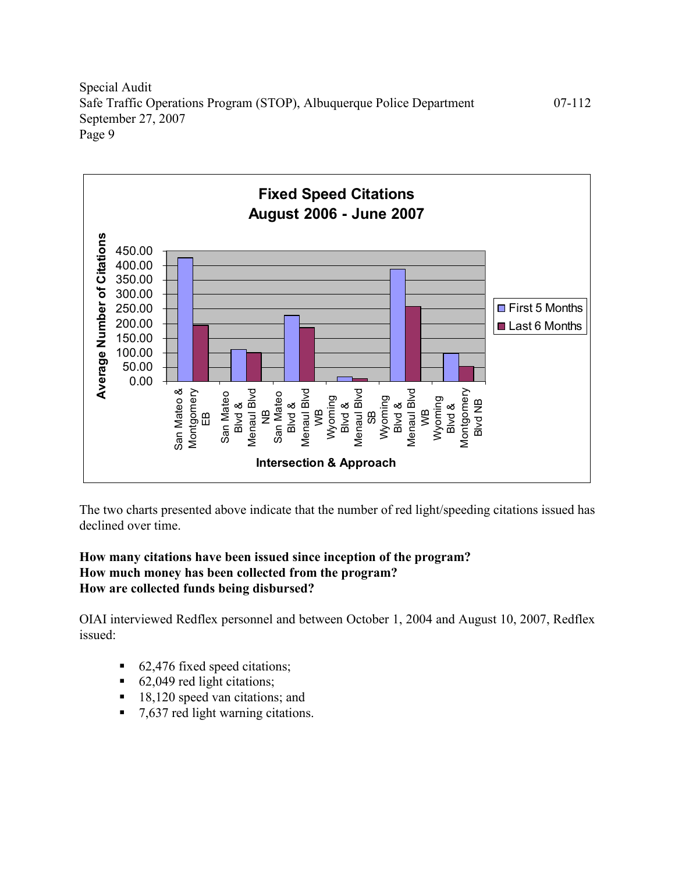

The two charts presented above indicate that the number of red light/speeding citations issued has declined over time.

### How many citations have been issued since inception of the program? How much money has been collected from the program? How are collected funds being disbursed?

OIAI interviewed Redflex personnel and between October 1, 2004 and August 10, 2007, Redflex issued:

- 62,476 fixed speed citations;
- 62,049 red light citations;
- 18,120 speed van citations; and
- 7,637 red light warning citations.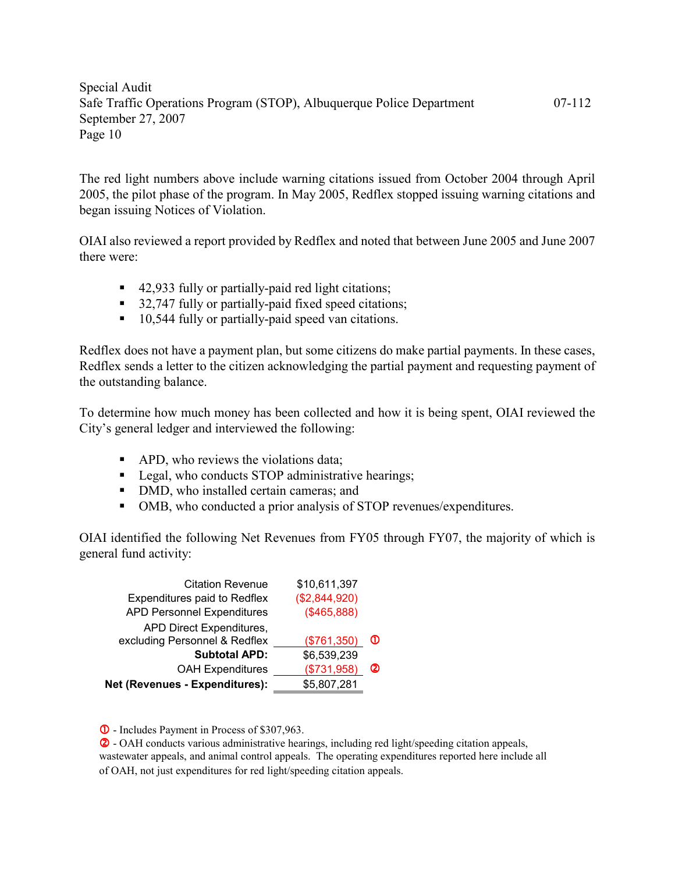The red light numbers above include warning citations issued from October 2004 through April 2005, the pilot phase of the program. In May 2005, Redflex stopped issuing warning citations and began issuing Notices of Violation.

OIAI also reviewed a report provided by Redflex and noted that between June 2005 and June 2007 there were:

- 42,933 fully or partially-paid red light citations;
- 32,747 fully or partially-paid fixed speed citations;
- 10,544 fully or partially-paid speed van citations.

Redflex does not have a payment plan, but some citizens do make partial payments. In these cases, Redflex sends a letter to the citizen acknowledging the partial payment and requesting payment of the outstanding balance.

To determine how much money has been collected and how it is being spent, OIAI reviewed the City's general ledger and interviewed the following:

- APD, who reviews the violations data;
- Legal, who conducts STOP administrative hearings;
- DMD, who installed certain cameras; and
- OMB, who conducted a prior analysis of STOP revenues/expenditures.

OIAI identified the following Net Revenues from FY05 through FY07, the majority of which is general fund activity:

| <b>Citation Revenue</b>           | \$10,611,397  |   |
|-----------------------------------|---------------|---|
| Expenditures paid to Redflex      | (\$2,844,920) |   |
| <b>APD Personnel Expenditures</b> | (\$465,888)   |   |
| APD Direct Expenditures,          |               |   |
| excluding Personnel & Redflex     | (\$761,350)   | Φ |
| <b>Subtotal APD:</b>              | \$6,539,239   |   |
| <b>OAH Expenditures</b>           | (\$731,958)   | ⊘ |
| Net (Revenues - Expenditures):    | \$5,807,281   |   |

- - Includes Payment in Process of \$307,963.

 - OAH conducts various administrative hearings, including red light/speeding citation appeals, wastewater appeals, and animal control appeals. The operating expenditures reported here include all of OAH, not just expenditures for red light/speeding citation appeals.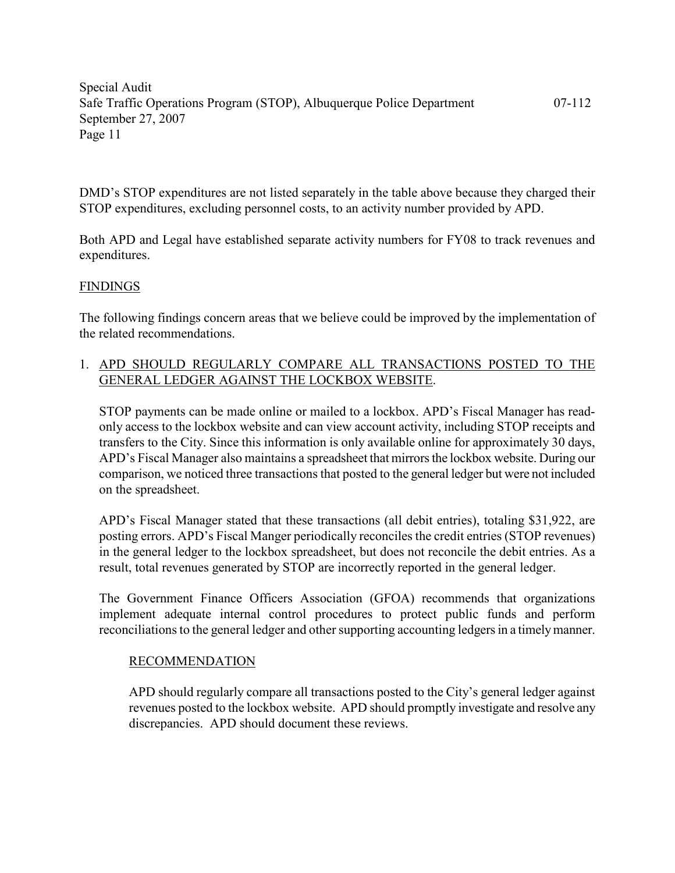DMD's STOP expenditures are not listed separately in the table above because they charged their STOP expenditures, excluding personnel costs, to an activity number provided by APD.

Both APD and Legal have established separate activity numbers for FY08 to track revenues and expenditures.

#### FINDINGS

The following findings concern areas that we believe could be improved by the implementation of the related recommendations.

### 1. APD SHOULD REGULARLY COMPARE ALL TRANSACTIONS POSTED TO THE GENERAL LEDGER AGAINST THE LOCKBOX WEBSITE.

STOP payments can be made online or mailed to a lockbox. APD's Fiscal Manager has readonly access to the lockbox website and can view account activity, including STOP receipts and transfers to the City. Since this information is only available online for approximately 30 days, APD's Fiscal Manager also maintains a spreadsheet that mirrors the lockbox website. During our comparison, we noticed three transactions that posted to the general ledger but were not included on the spreadsheet.

APD's Fiscal Manager stated that these transactions (all debit entries), totaling \$31,922, are posting errors. APD's Fiscal Manger periodically reconciles the credit entries (STOP revenues) in the general ledger to the lockbox spreadsheet, but does not reconcile the debit entries. As a result, total revenues generated by STOP are incorrectly reported in the general ledger.

The Government Finance Officers Association (GFOA) recommends that organizations implement adequate internal control procedures to protect public funds and perform reconciliations to the general ledger and other supporting accounting ledgers in a timely manner.

#### RECOMMENDATION

APD should regularly compare all transactions posted to the City's general ledger against revenues posted to the lockbox website. APD should promptly investigate and resolve any discrepancies. APD should document these reviews.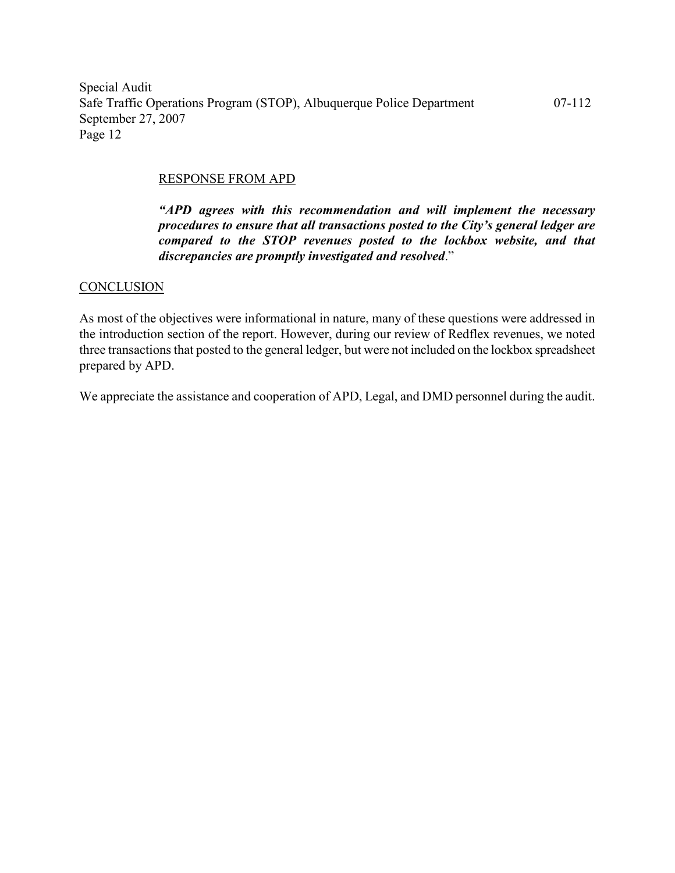#### RESPONSE FROM APD

"APD agrees with this recommendation and will implement the necessary procedures to ensure that all transactions posted to the City's general ledger are compared to the STOP revenues posted to the lockbox website, and that discrepancies are promptly investigated and resolved."

#### **CONCLUSION**

As most of the objectives were informational in nature, many of these questions were addressed in the introduction section of the report. However, during our review of Redflex revenues, we noted three transactions that posted to the general ledger, but were not included on the lockbox spreadsheet prepared by APD.

We appreciate the assistance and cooperation of APD, Legal, and DMD personnel during the audit.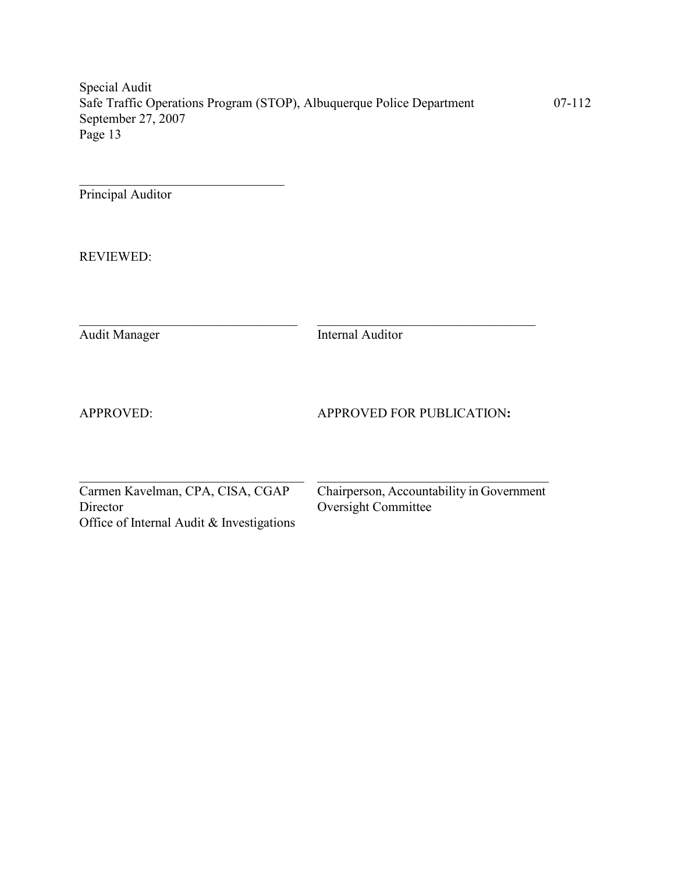Principal Auditor

\_\_\_\_\_\_\_\_\_\_\_\_\_\_\_\_\_\_\_\_\_\_\_\_\_\_\_\_\_\_\_

REVIEWED:

Audit Manager Internal Auditor

 $\_$  , and the set of the set of the set of the set of the set of the set of the set of the set of the set of the set of the set of the set of the set of the set of the set of the set of the set of the set of the set of th

 $\_$  , and the set of the set of the set of the set of the set of the set of the set of the set of the set of the set of the set of the set of the set of the set of the set of the set of the set of the set of the set of th

APPROVED: APPROVED FOR PUBLICATION:

Office of Internal Audit & Investigations

Carmen Kavelman, CPA, CISA, CGAP Chairperson, Accountability in Government<br>Director Oversight Committee Oversight Committee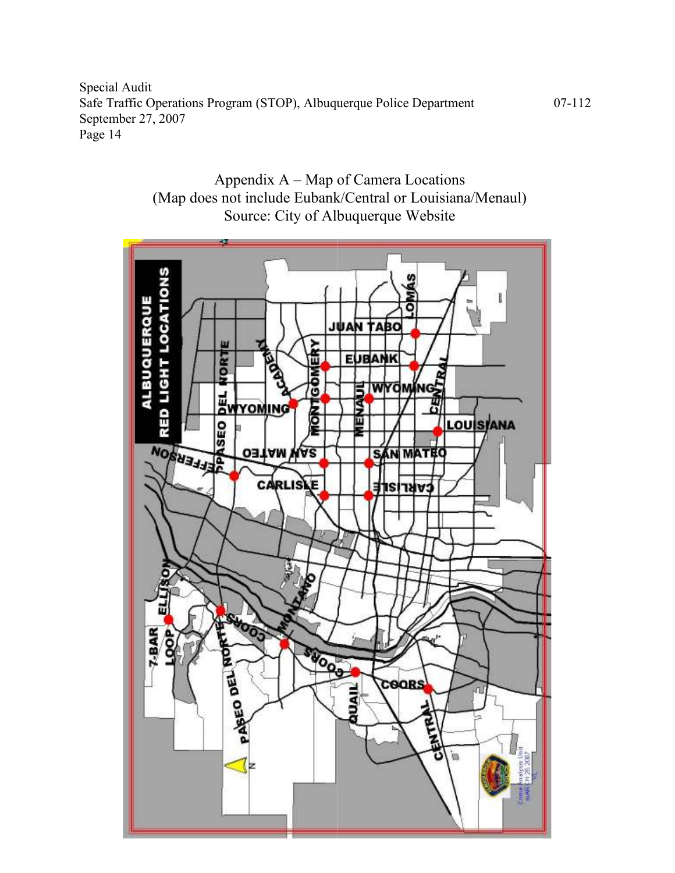

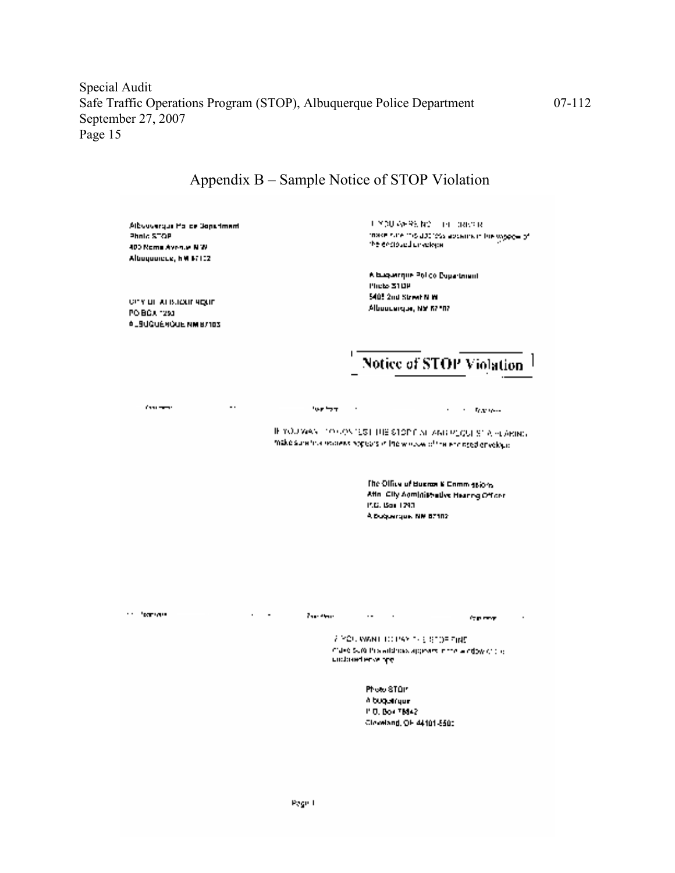| Albuquerque Pointe Jone-Imami<br>Photo STOP<br>400 Nome Avenue N.W.<br>Albouquicus, hM 87102 |                  | UNDU AFRICADE THE DRIVER<br>thase rune this databas absence in the wipper of<br>the endough predece.                                |
|----------------------------------------------------------------------------------------------|------------------|-------------------------------------------------------------------------------------------------------------------------------------|
| <b>CITY OF ALBUQUE RIGHT</b><br>PO BOX 1293<br><b>ALBUGUENCUE NM B/103</b>                   |                  | A buguerque Poi do Duga traval<br>Photo 310P<br>5405 2nd Street N.W.<br>Albourage, NY 67107                                         |
|                                                                                              |                  | <b>Notice of STOP Violation</b>                                                                                                     |
| Company of<br>a.                                                                             | <b>Low front</b> | $\mathbf{r} = \mathbf{r} + \mathbf{r}$ . Then there                                                                                 |
|                                                                                              |                  |                                                                                                                                     |
|                                                                                              |                  | The Office of Busines & Commissions.<br>After City Administrative Hearing Officer<br>P.C. Box 1243<br>A Duquerque, NM 87102.        |
| <b>Continued State</b>                                                                       | The Chair        | $\sim 10^{-10}$<br><b>Comment</b><br><b>2 YOU WANT TO PAY THE STORENTS</b><br>Cideo SUA Pris address appears in the allegasy of the |
|                                                                                              |                  | undered envelope<br>Photo STOP                                                                                                      |

# Appendix B – Sample Notice of STOP Violation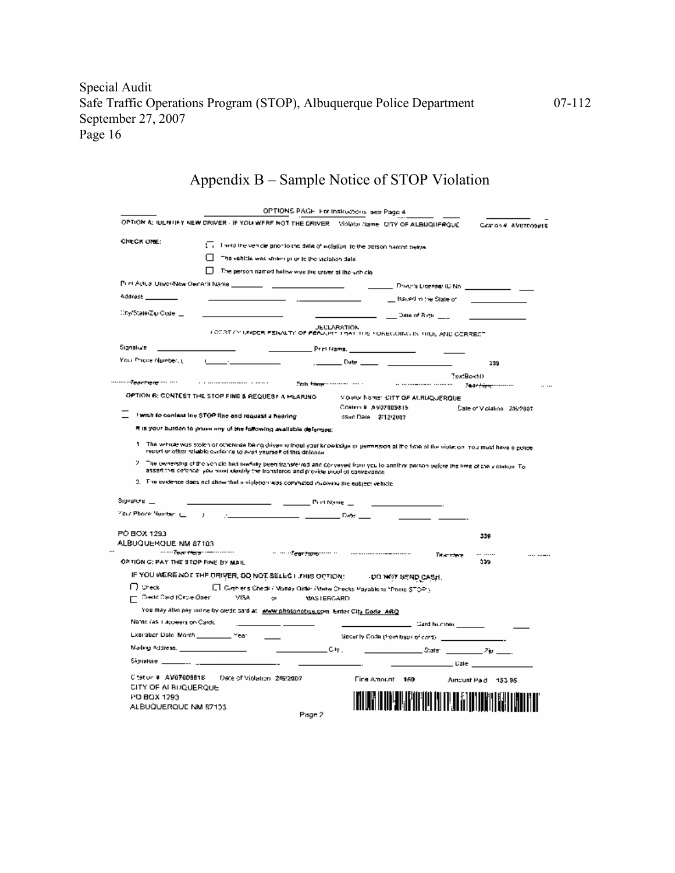# Appendix B – Sample Notice of STOP Violation

|                                                                                                                             | OPTION A: IUENTIFY NEW DRIVER - IF YOU WERE NOT THE DRIVER. INVANCIONATING CITY OF ALBUQUERQUE                                                                                                                                                                                                                               |                                                                                                                                                 | Gearinn # AVE7FO9816         |
|-----------------------------------------------------------------------------------------------------------------------------|------------------------------------------------------------------------------------------------------------------------------------------------------------------------------------------------------------------------------------------------------------------------------------------------------------------------------|-------------------------------------------------------------------------------------------------------------------------------------------------|------------------------------|
| CHECK ONE:                                                                                                                  |                                                                                                                                                                                                                                                                                                                              |                                                                                                                                                 |                              |
|                                                                                                                             | $\overline{\Box}$ . I settlifte venicle prior folche data of welstign, to the betson handed delive                                                                                                                                                                                                                           |                                                                                                                                                 |                              |
|                                                                                                                             | The vehicle was striking or to the violation data                                                                                                                                                                                                                                                                            |                                                                                                                                                 |                              |
|                                                                                                                             | The person named balow was the criver of the vich cle                                                                                                                                                                                                                                                                        |                                                                                                                                                 |                              |
| Punt Actual Universitas Owner's Name ______                                                                                 |                                                                                                                                                                                                                                                                                                                              |                                                                                                                                                 |                              |
| Adoress ________                                                                                                            |                                                                                                                                                                                                                                                                                                                              | __ Issued mithe State of                                                                                                                        |                              |
| ∷ny'StateiZiu Ceite —                                                                                                       |                                                                                                                                                                                                                                                                                                                              | ———————— Эяке#Вен <u>— —</u>                                                                                                                    |                              |
|                                                                                                                             | LOTATICS UNDER PENALTY OF PERUJIKS THAT THE FOREGOING IS TRUL AND CORRECT                                                                                                                                                                                                                                                    | <b>JECLARATION</b>                                                                                                                              |                              |
| Signalure                                                                                                                   |                                                                                                                                                                                                                                                                                                                              |                                                                                                                                                 |                              |
| Your Phone Number, (L.                                                                                                      |                                                                                                                                                                                                                                                                                                                              | _ Date ____________________                                                                                                                     | 339                          |
|                                                                                                                             |                                                                                                                                                                                                                                                                                                                              |                                                                                                                                                 | TextBootD                    |
|                                                                                                                             |                                                                                                                                                                                                                                                                                                                              | This thing common the contract of the common common                                                                                             | Tear <del>tier,</del> manner |
|                                                                                                                             | OPTION B: CONTEST THE STOP FINE & REQUES? A MEARING                                                                                                                                                                                                                                                                          | Violator Nomer, CITY OF AURUQUERQUE                                                                                                             |                              |
|                                                                                                                             | I wish to context line STOP fine and request a hearing                                                                                                                                                                                                                                                                       | Coating a AV37009815                                                                                                                            | Dale of Vicialion - 2%/200≢  |
|                                                                                                                             |                                                                                                                                                                                                                                                                                                                              | SSud Date: 2/12/2007                                                                                                                            |                              |
|                                                                                                                             | R is your burden to prove any of the foRowing available defenses:                                                                                                                                                                                                                                                            |                                                                                                                                                 |                              |
|                                                                                                                             | report or other reliable cyclerics to ever yourself of this delense.                                                                                                                                                                                                                                                         | The setticle was stolen or otherwise being driven without your knowledge or permission of the fister that all the violation mount have a potter |                              |
| y.                                                                                                                          | The ownership of the vehicle had tawfully been fransferred and conveyed from you to another parken before the time of the vidiation. To<br>asserting ceforice, you must dentify the transferce and provide problet conveyance.<br>3. The evidence does not show that a violation was committed involving the aubject vehicle |                                                                                                                                                 |                              |
|                                                                                                                             |                                                                                                                                                                                                                                                                                                                              |                                                                                                                                                 |                              |
|                                                                                                                             |                                                                                                                                                                                                                                                                                                                              | <b>Details</b>                                                                                                                                  |                              |
|                                                                                                                             |                                                                                                                                                                                                                                                                                                                              |                                                                                                                                                 | 339                          |
|                                                                                                                             |                                                                                                                                                                                                                                                                                                                              | man fear from man and communications<br>Table stare                                                                                             |                              |
|                                                                                                                             |                                                                                                                                                                                                                                                                                                                              |                                                                                                                                                 | 339                          |
|                                                                                                                             | IF YOU WERE NOT THE DRIVER, DO NOT SELLS I JTHIS OPTION: UNDER WAT SEND CASH.                                                                                                                                                                                                                                                |                                                                                                                                                 |                              |
| l J Sheck                                                                                                                   | Ell Cashier's Check / Manay Onder /Make Checks Payable to "Photo STOP").<br>Credit Card (Circle One): [19] MASTERCARD                                                                                                                                                                                                        |                                                                                                                                                 |                              |
|                                                                                                                             | You may also pay outine by credit part at www.photonotica.com Enter City Code, ARQ                                                                                                                                                                                                                                           |                                                                                                                                                 |                              |
| Name (as I Japeers on Card).                                                                                                |                                                                                                                                                                                                                                                                                                                              | _ Gard Number ________                                                                                                                          |                              |
|                                                                                                                             |                                                                                                                                                                                                                                                                                                                              | Geoutly Code (from tissue of card)                                                                                                              |                              |
| Maring Poldress. In the control                                                                                             | $\frac{1}{2}$ $\frac{1}{2}$ $\frac{1}{2}$ $\frac{1}{2}$ $\frac{1}{2}$ $\frac{1}{2}$ $\frac{1}{2}$ $\frac{1}{2}$ $\frac{1}{2}$ $\frac{1}{2}$ $\frac{1}{2}$                                                                                                                                                                    |                                                                                                                                                 |                              |
|                                                                                                                             |                                                                                                                                                                                                                                                                                                                              |                                                                                                                                                 | _________ Date __________    |
| Signature _<br>Your Phone Number (_ _ _ ) _ _<br>PO BOX 1293<br>ALBUQUERQUE NM 87103<br>OPTION G: PAY THE STOP FINE BY MAIL |                                                                                                                                                                                                                                                                                                                              |                                                                                                                                                 |                              |
| CITY OF ALBUQUERQUE                                                                                                         | Cleron # AV07009815 Date of Violation, 2/6/2007                                                                                                                                                                                                                                                                              | Fine Amount 150                                                                                                                                 | Aircunt Pad 153.95           |
| PO BOX 1293<br>ALBUQUERQUE NM 57103                                                                                         |                                                                                                                                                                                                                                                                                                                              |                                                                                                                                                 |                              |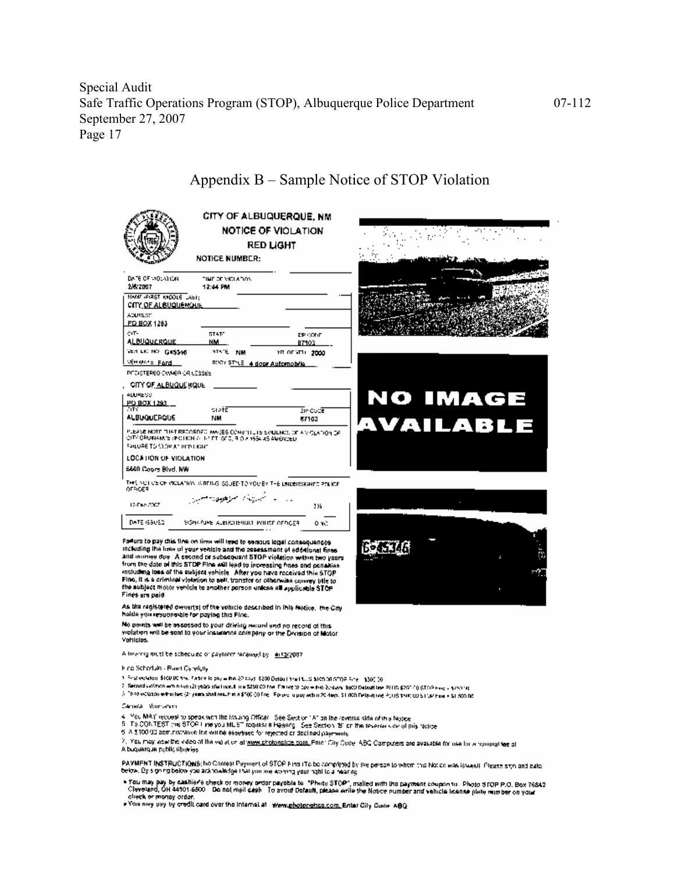|                                                                                                                                                                                                                                                          | <b>NOTICE NUMBER:</b>                                                                                                                                                                                                              | CITY OF ALBUQUERQUE, NM<br><b>NOTICE OF VIOLATION</b><br><b>RED LIGHT</b> |                 |
|----------------------------------------------------------------------------------------------------------------------------------------------------------------------------------------------------------------------------------------------------------|------------------------------------------------------------------------------------------------------------------------------------------------------------------------------------------------------------------------------------|---------------------------------------------------------------------------|-----------------|
| DATE OF VIOLATION.<br>2/6/2007<br>MANU (FIRST MIDDLE LAST)<br>CITY OF ALBUQUE KAUL<br>ADDRESS'<br><b>PD BOX 1293</b><br>CIT-<br><b>ALBUQUERQUE</b><br>YEA LKI NO. G45346<br><b>VEH MATE Fand</b><br>PITC/STEREO CYMIER CRILESSEE<br>CITY OF ALBUQUE ROUL | TINE OF VICUATION<br>12:44 PM<br>STAT-<br>NM.<br><b>NIM 3TATP</b><br>RINGY STILE 4 door Automobile                                                                                                                                 | zse contr<br>87103<br>YR OF YELL 2000                                     |                 |
| <b>ALLINE VS</b><br>PO BOX 1293<br><b>CITY</b><br><b>ALBUQUERQUE</b>                                                                                                                                                                                     | statE<br>NМ                                                                                                                                                                                                                        | ∑in doo⊠<br>67103                                                         | <b>NO IMAGE</b> |
| PAILURE TO STOP AT PITPLIKERT                                                                                                                                                                                                                            | PLEASE NOTE THAT RECORDED WASES CONSITIUTE EVIDENCE OF A VICUATION OF<br>CITY ORDINAMIC (PICTICN ALLIANT), SCC, RICIA 1954 AS AMÉNOED                                                                                              |                                                                           | AVAILABLE       |
| LOCATION OF VIOLATION                                                                                                                                                                                                                                    |                                                                                                                                                                                                                                    |                                                                           |                 |
| 6600 Coors Blvd, NW                                                                                                                                                                                                                                      |                                                                                                                                                                                                                                    |                                                                           |                 |
| OFFICER                                                                                                                                                                                                                                                  | THIS NOT OF OF VIOLATION IS REISO ISSUED TO YOU BY THE LINDERSKANDS POLICE                                                                                                                                                         |                                                                           |                 |
| 12-Fax: 2007                                                                                                                                                                                                                                             | المستبارة المستطوعات مسر                                                                                                                                                                                                           | 105                                                                       |                 |
| DATE (\$50EC)                                                                                                                                                                                                                                            | УЗМАРИНЫ АЗВЕСПЕЧИЛА ИЛПОГ ОПРОДА                                                                                                                                                                                                  | O NO.                                                                     |                 |
|                                                                                                                                                                                                                                                          | Facture to pay chis time on time will lead to sensus logal consequences<br>including the lizes of your vehicle and the constanting of eddelonal fines.<br>alld insigue due. A second or subconsignt STGP violation within has upon |                                                                           |                 |

## Appendix B – Sample Notice of STOP Violation

from the date of this STDP Fine will lead to increasing fines and penalties including loss of the subject vohicle. After you have received this STOP Fine, it is a criminal violetion to gell, transfer or otherwise covery title to the aubject motor vehicle to another porson unless all applicable STOP Firles are paid

As the registered owner(s) of the volucio described in this fective, the City<br>holds you resumes the paying this Fine.

No points will be assossed to your driving record and no record of this violation will be sont to your insurance collipeny or the Division of Motor Vehicles.

A line mg niutilitie scheduled or payniers ranawed by 14(53)/807

#### Find Schortake - Raant Carefully

1. First violation, \$100,00 first, Fadare to pay = this 30 days, \$200 Detail threat tutts \$105 at 5700 Fane + \$300.00

2. Second up/monieminity/oil/ybaSishatiran.Line 5250.00 html For regio cover (in) Sodars Boot/Debuttine PHIS \$257-0 (\$TCP Fire - \$45114).

3. This volusion within fact (2) yours shall much in a \$100.00 Feb in Equation yours and August 1.000 Delayating Package 2008 part (00 ST CP have a \$1,500 ftd.

Senata Internation

- 
- 4. Meu MAY request to speak with the Issuing Officer. See Section 1A1 an the reverse skill of this Notice.<br>5. To CONTEST this STOP Fine you MUST request a Heaping. See Section 181 on the reverse side of this Notice.<br>4. A S
- 6. A \$100.00 performance les valles ssesses for rejected or declined payments

2. You may new the video of the visit on at www.photonotice.com. Friter City Code, ABC Computers are available for me for a rounnal tee at A buquarque public tibiéries

PAYMENT INSTRUCTIONS; No Contest Psyment of STOP Find iTo be completed by the person to whem this Notice was issued). Please sitin and eater<br>below, By signing below you acknowledge that you are eviving your high lost heari

► You may pay by cashier's check or money protor payoble to "Phutu STOP", malled with the payment coupon to . Photo STOP P.O. Box 76842<br>- Cleveland, OH 44101-6500 – Do not mail caph – To avoid Dofault, please write the N

. You nay usy by credit card over the internal at - Wew.photonotice.com, Enter City Code, ABQ